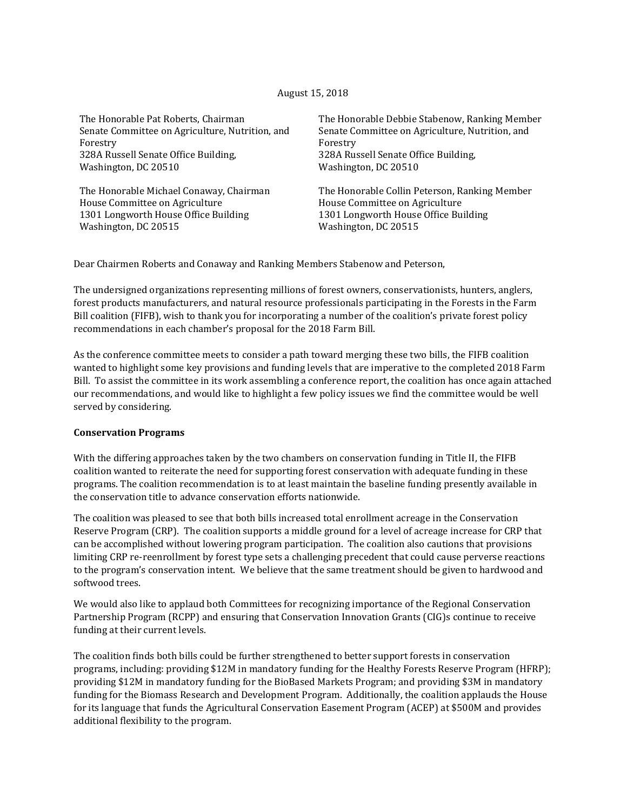### August 15, 2018

| The Honorable Pat Roberts, Chairman             | The Honorable Debbie Stabenow, Ranking Member   |
|-------------------------------------------------|-------------------------------------------------|
| Senate Committee on Agriculture, Nutrition, and | Senate Committee on Agriculture, Nutrition, and |
| Forestry                                        | Forestry                                        |
| 328A Russell Senate Office Building,            | 328A Russell Senate Office Building,            |
| Washington, DC 20510                            | Washington, DC 20510                            |
|                                                 |                                                 |
| The Honorable Michael Conaway, Chairman         | The Honorable Collin Peterson, Ranking Member   |
| House Committee on Agriculture                  | House Committee on Agriculture                  |
| 1301 Longworth House Office Building            | 1301 Longworth House Office Building            |
| Washington, DC 20515                            | Washington, DC 20515                            |
|                                                 |                                                 |

Dear Chairmen Roberts and Conaway and Ranking Members Stabenow and Peterson,

The undersigned organizations representing millions of forest owners, conservationists, hunters, anglers, forest products manufacturers, and natural resource professionals participating in the Forests in the Farm Bill coalition (FIFB), wish to thank you for incorporating a number of the coalition's private forest policy recommendations in each chamber's proposal for the 2018 Farm Bill.

As the conference committee meets to consider a path toward merging these two bills, the FIFB coalition wanted to highlight some key provisions and funding levels that are imperative to the completed 2018 Farm Bill. To assist the committee in its work assembling a conference report, the coalition has once again attached our recommendations, and would like to highlight a few policy issues we find the committee would be well served by considering.

#### **Conservation Programs**

With the differing approaches taken by the two chambers on conservation funding in Title II, the FIFB coalition wanted to reiterate the need for supporting forest conservation with adequate funding in these programs. The coalition recommendation is to at least maintain the baseline funding presently available in the conservation title to advance conservation efforts nationwide.

The coalition was pleased to see that both bills increased total enrollment acreage in the Conservation Reserve Program (CRP). The coalition supports a middle ground for a level of acreage increase for CRP that can be accomplished without lowering program participation. The coalition also cautions that provisions limiting CRP re-reenrollment by forest type sets a challenging precedent that could cause perverse reactions to the program's conservation intent. We believe that the same treatment should be given to hardwood and softwood trees.

We would also like to applaud both Committees for recognizing importance of the Regional Conservation Partnership Program (RCPP) and ensuring that Conservation Innovation Grants (CIG)s continue to receive funding at their current levels.

The coalition finds both bills could be further strengthened to better support forests in conservation programs, including: providing \$12M in mandatory funding for the Healthy Forests Reserve Program (HFRP); providing \$12M in mandatory funding for the BioBased Markets Program; and providing \$3M in mandatory funding for the Biomass Research and Development Program. Additionally, the coalition applauds the House for its language that funds the Agricultural Conservation Easement Program (ACEP) at \$500M and provides additional flexibility to the program.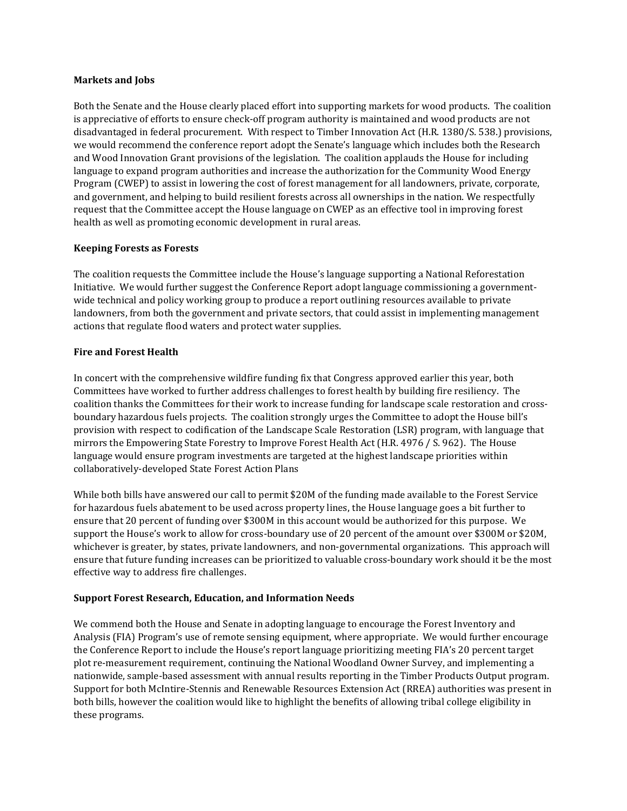### **Markets and Jobs**

Both the Senate and the House clearly placed effort into supporting markets for wood products. The coalition is appreciative of efforts to ensure check-off program authority is maintained and wood products are not disadvantaged in federal procurement. With respect to Timber Innovation Act (H.R. 1380/S. 538.) provisions, we would recommend the conference report adopt the Senate's language which includes both the Research and Wood Innovation Grant provisions of the legislation. The coalition applauds the House for including language to expand program authorities and increase the authorization for the Community Wood Energy Program (CWEP) to assist in lowering the cost of forest management for all landowners, private, corporate, and government, and helping to build resilient forests across all ownerships in the nation. We respectfully request that the Committee accept the House language on CWEP as an effective tool in improving forest health as well as promoting economic development in rural areas.

# **Keeping Forests as Forests**

The coalition requests the Committee include the House's language supporting a National Reforestation Initiative. We would further suggest the Conference Report adopt language commissioning a governmentwide technical and policy working group to produce a report outlining resources available to private landowners, from both the government and private sectors, that could assist in implementing management actions that regulate flood waters and protect water supplies.

# **Fire and Forest Health**

In concert with the comprehensive wildfire funding fix that Congress approved earlier this year, both Committees have worked to further address challenges to forest health by building fire resiliency. The coalition thanks the Committees for their work to increase funding for landscape scale restoration and crossboundary hazardous fuels projects. The coalition strongly urges the Committee to adopt the House bill's provision with respect to codification of the Landscape Scale Restoration (LSR) program, with language that mirrors the Empowering State Forestry to Improve Forest Health Act (H.R. 4976 / S. 962). The House language would ensure program investments are targeted at the highest landscape priorities within collaboratively-developed State Forest Action Plans

While both bills have answered our call to permit \$20M of the funding made available to the Forest Service for hazardous fuels abatement to be used across property lines, the House language goes a bit further to ensure that 20 percent of funding over \$300M in this account would be authorized for this purpose. We support the House's work to allow for cross-boundary use of 20 percent of the amount over \$300M or \$20M, whichever is greater, by states, private landowners, and non-governmental organizations. This approach will ensure that future funding increases can be prioritized to valuable cross-boundary work should it be the most effective way to address fire challenges.

## **Support Forest Research, Education, and Information Needs**

We commend both the House and Senate in adopting language to encourage the Forest Inventory and Analysis (FIA) Program's use of remote sensing equipment, where appropriate. We would further encourage the Conference Report to include the House's report language prioritizing meeting FIA's 20 percent target plot re-measurement requirement, continuing the National Woodland Owner Survey, and implementing a nationwide, sample-based assessment with annual results reporting in the Timber Products Output program. Support for both McIntire-Stennis and Renewable Resources Extension Act (RREA) authorities was present in both bills, however the coalition would like to highlight the benefits of allowing tribal college eligibility in these programs.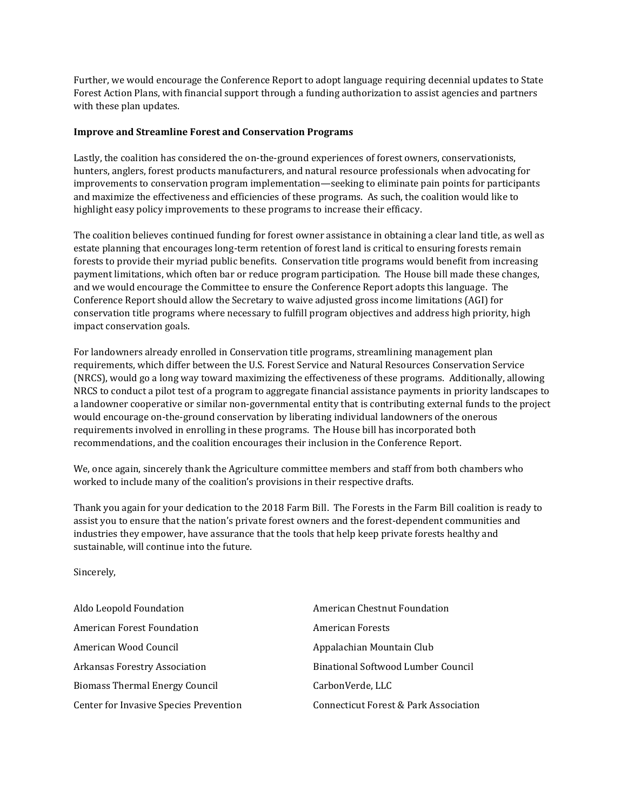Further, we would encourage the Conference Report to adopt language requiring decennial updates to State Forest Action Plans, with financial support through a funding authorization to assist agencies and partners with these plan updates.

## **Improve and Streamline Forest and Conservation Programs**

Lastly, the coalition has considered the on-the-ground experiences of forest owners, conservationists, hunters, anglers, forest products manufacturers, and natural resource professionals when advocating for improvements to conservation program implementation—seeking to eliminate pain points for participants and maximize the effectiveness and efficiencies of these programs. As such, the coalition would like to highlight easy policy improvements to these programs to increase their efficacy.

The coalition believes continued funding for forest owner assistance in obtaining a clear land title, as well as estate planning that encourages long-term retention of forest land is critical to ensuring forests remain forests to provide their myriad public benefits. Conservation title programs would benefit from increasing payment limitations, which often bar or reduce program participation. The House bill made these changes, and we would encourage the Committee to ensure the Conference Report adopts this language. The Conference Report should allow the Secretary to waive adjusted gross income limitations (AGI) for conservation title programs where necessary to fulfill program objectives and address high priority, high impact conservation goals.

For landowners already enrolled in Conservation title programs, streamlining management plan requirements, which differ between the U.S. Forest Service and Natural Resources Conservation Service (NRCS), would go a long way toward maximizing the effectiveness of these programs. Additionally, allowing NRCS to conduct a pilot test of a program to aggregate financial assistance payments in priority landscapes to a landowner cooperative or similar non-governmental entity that is contributing external funds to the project would encourage on-the-ground conservation by liberating individual landowners of the onerous requirements involved in enrolling in these programs. The House bill has incorporated both recommendations, and the coalition encourages their inclusion in the Conference Report.

We, once again, sincerely thank the Agriculture committee members and staff from both chambers who worked to include many of the coalition's provisions in their respective drafts.

Thank you again for your dedication to the 2018 Farm Bill. The Forests in the Farm Bill coalition is ready to assist you to ensure that the nation's private forest owners and the forest-dependent communities and industries they empower, have assurance that the tools that help keep private forests healthy and sustainable, will continue into the future.

Sincerely,

| Aldo Leopold Foundation                       | American Chestnut Foundation                     |
|-----------------------------------------------|--------------------------------------------------|
| American Forest Foundation                    | <b>American Forests</b>                          |
| American Wood Council                         | Appalachian Mountain Club                        |
| Arkansas Forestry Association                 | Binational Softwood Lumber Council               |
| Biomass Thermal Energy Council                | CarbonVerde, LLC                                 |
| <b>Center for Invasive Species Prevention</b> | <b>Connecticut Forest &amp; Park Association</b> |